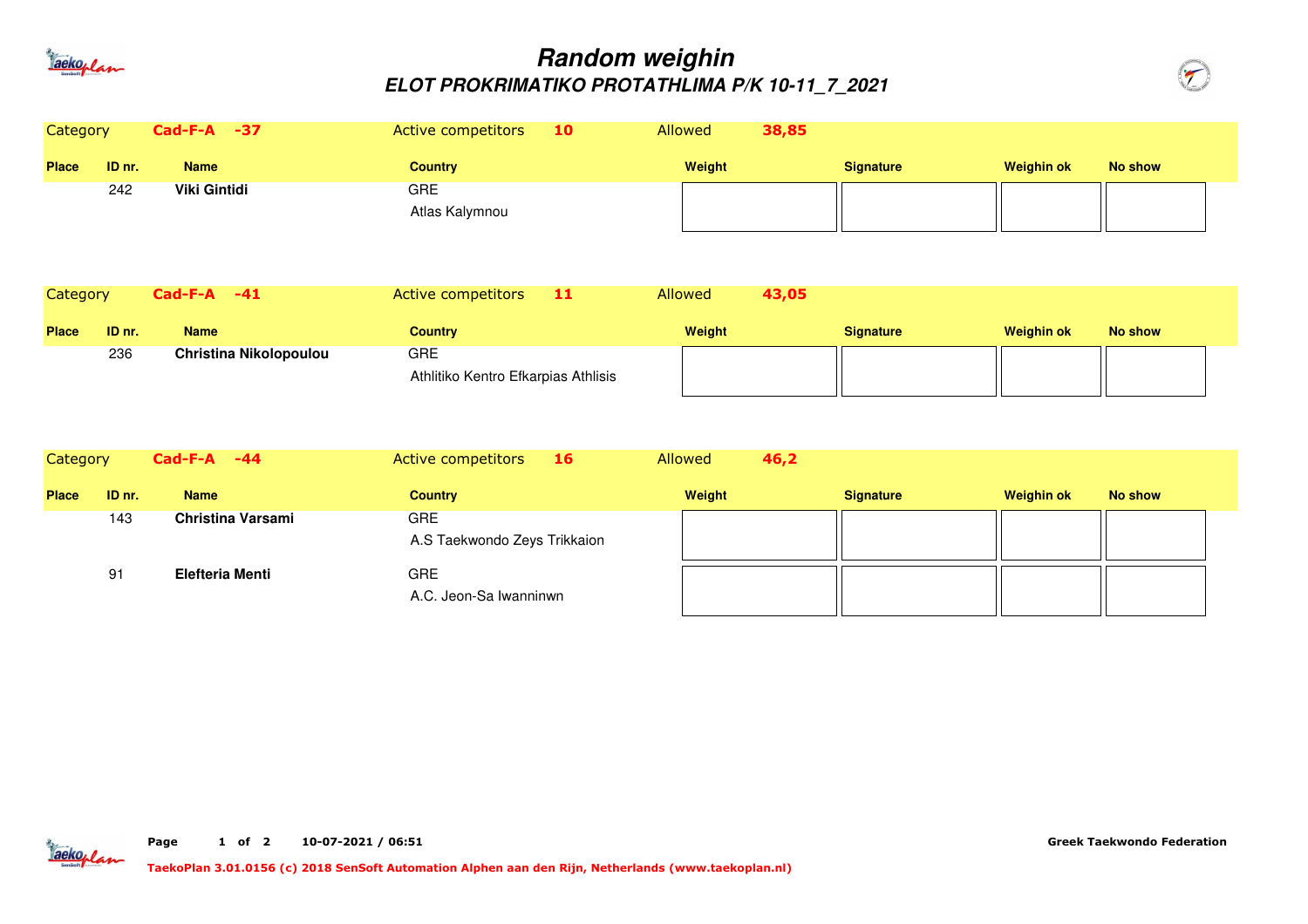

## **Random weighinELOT PROKRIMATIKO PROTATHLIMA P/K 10-11\_7\_2021**



| Category     |        | Cad-F-A -37                   | Active competitors<br>10                   | Allowed | 38,85 |                  |                   |                |
|--------------|--------|-------------------------------|--------------------------------------------|---------|-------|------------------|-------------------|----------------|
| <b>Place</b> | ID nr. | <b>Name</b>                   | <b>Country</b>                             | Weight  |       | <b>Signature</b> | <b>Weighin ok</b> | <b>No show</b> |
|              | 242    | <b>Viki Gintidi</b>           | <b>GRE</b><br>Atlas Kalymnou               |         |       |                  |                   |                |
| Category     |        | $Cad-F-A$ -41                 | Active competitors<br>11                   | Allowed | 43,05 |                  |                   |                |
| <b>Place</b> | ID nr. | <b>Name</b>                   | <b>Country</b>                             | Weight  |       | <b>Signature</b> | <b>Weighin ok</b> | No show        |
|              | 236    | <b>Christina Nikolopoulou</b> | GRE<br>Athlitiko Kentro Efkarpias Athlisis |         |       |                  |                   |                |
| Category     |        | $Cad-F-A -44$                 | Active competitors<br>16                   | Allowed | 46,2  |                  |                   |                |
| <b>Place</b> | ID nr. | <b>Name</b>                   | <b>Country</b>                             | Weight  |       | <b>Signature</b> | <b>Weighin ok</b> | <b>No show</b> |
|              | 143    | Christina Varsami             | GRE<br>A.S Taekwondo Zeys Trikkaion        |         |       |                  |                   |                |
|              | 91     | <b>Elefteria Menti</b>        | <b>GRE</b><br>A.C. Jeon-Sa Iwanninwn       |         |       |                  |                   |                |



**Page <sup>1</sup>of <sup>2</sup> 10-07-2021 / 06:51** **Greek Taekwondo Federation**